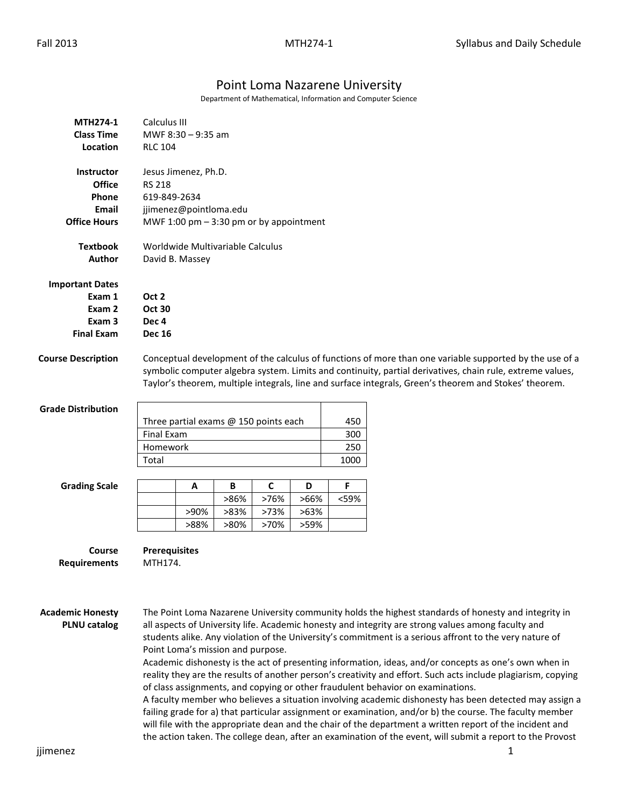## Point Loma Nazarene University

Department of Mathematical, Information and Computer Science

| <b>MTH274-1</b><br><b>Class Time</b><br>Location                                     | Calculus III<br>MWF 8:30 - 9:35 am<br><b>RLC 104</b>                                                                                                                                                                                                                                                                                                                                                                                                                                                                                                                                                                                                                                                                                                                                                                                                                                                                                                                                                                                                                                                                    |                                                     |              |              |              |                           |  |
|--------------------------------------------------------------------------------------|-------------------------------------------------------------------------------------------------------------------------------------------------------------------------------------------------------------------------------------------------------------------------------------------------------------------------------------------------------------------------------------------------------------------------------------------------------------------------------------------------------------------------------------------------------------------------------------------------------------------------------------------------------------------------------------------------------------------------------------------------------------------------------------------------------------------------------------------------------------------------------------------------------------------------------------------------------------------------------------------------------------------------------------------------------------------------------------------------------------------------|-----------------------------------------------------|--------------|--------------|--------------|---------------------------|--|
| <b>Instructor</b><br><b>Office</b><br>Phone<br><b>Email</b><br><b>Office Hours</b>   | Jesus Jimenez, Ph.D.<br><b>RS 218</b><br>619-849-2634<br>jjimenez@pointloma.edu<br>MWF 1:00 pm $-$ 3:30 pm or by appointment                                                                                                                                                                                                                                                                                                                                                                                                                                                                                                                                                                                                                                                                                                                                                                                                                                                                                                                                                                                            |                                                     |              |              |              |                           |  |
| <b>Textbook</b><br>Author                                                            |                                                                                                                                                                                                                                                                                                                                                                                                                                                                                                                                                                                                                                                                                                                                                                                                                                                                                                                                                                                                                                                                                                                         | Worldwide Multivariable Calculus<br>David B. Massey |              |              |              |                           |  |
| <b>Important Dates</b><br>Exam 1<br>Exam 2<br>Exam <sub>3</sub><br><b>Final Exam</b> | Oct 2<br><b>Oct 30</b><br>Dec <sub>4</sub><br><b>Dec 16</b>                                                                                                                                                                                                                                                                                                                                                                                                                                                                                                                                                                                                                                                                                                                                                                                                                                                                                                                                                                                                                                                             |                                                     |              |              |              |                           |  |
| <b>Course Description</b>                                                            | Conceptual development of the calculus of functions of more than one variable supported by the use of a<br>symbolic computer algebra system. Limits and continuity, partial derivatives, chain rule, extreme values,<br>Taylor's theorem, multiple integrals, line and surface integrals, Green's theorem and Stokes' theorem.                                                                                                                                                                                                                                                                                                                                                                                                                                                                                                                                                                                                                                                                                                                                                                                          |                                                     |              |              |              |                           |  |
| <b>Grade Distribution</b>                                                            | Three partial exams @ 150 points each<br><b>Final Exam</b><br>Homework<br>Total                                                                                                                                                                                                                                                                                                                                                                                                                                                                                                                                                                                                                                                                                                                                                                                                                                                                                                                                                                                                                                         |                                                     |              |              |              | 450<br>300<br>250<br>1000 |  |
| <b>Grading Scale</b>                                                                 |                                                                                                                                                                                                                                                                                                                                                                                                                                                                                                                                                                                                                                                                                                                                                                                                                                                                                                                                                                                                                                                                                                                         | Α                                                   | В<br>>86%    | C<br>>76%    | D<br>>66%    | F<br><59%                 |  |
|                                                                                      |                                                                                                                                                                                                                                                                                                                                                                                                                                                                                                                                                                                                                                                                                                                                                                                                                                                                                                                                                                                                                                                                                                                         | >90%<br>>88%                                        | >83%<br>>80% | >73%<br>>70% | >63%<br>>59% |                           |  |
| Course<br><b>Requirements</b>                                                        | <b>Prerequisites</b><br>MTH174.                                                                                                                                                                                                                                                                                                                                                                                                                                                                                                                                                                                                                                                                                                                                                                                                                                                                                                                                                                                                                                                                                         |                                                     |              |              |              |                           |  |
| <b>Academic Honesty</b><br><b>PLNU</b> catalog                                       | The Point Loma Nazarene University community holds the highest standards of honesty and integrity in<br>all aspects of University life. Academic honesty and integrity are strong values among faculty and<br>students alike. Any violation of the University's commitment is a serious affront to the very nature of<br>Point Loma's mission and purpose.<br>Academic dishonesty is the act of presenting information, ideas, and/or concepts as one's own when in<br>reality they are the results of another person's creativity and effort. Such acts include plagiarism, copying<br>of class assignments, and copying or other fraudulent behavior on examinations.<br>A faculty member who believes a situation involving academic dishonesty has been detected may assign a<br>failing grade for a) that particular assignment or examination, and/or b) the course. The faculty member<br>will file with the appropriate dean and the chair of the department a written report of the incident and<br>the action taken. The college dean, after an examination of the event, will submit a report to the Provost |                                                     |              |              |              |                           |  |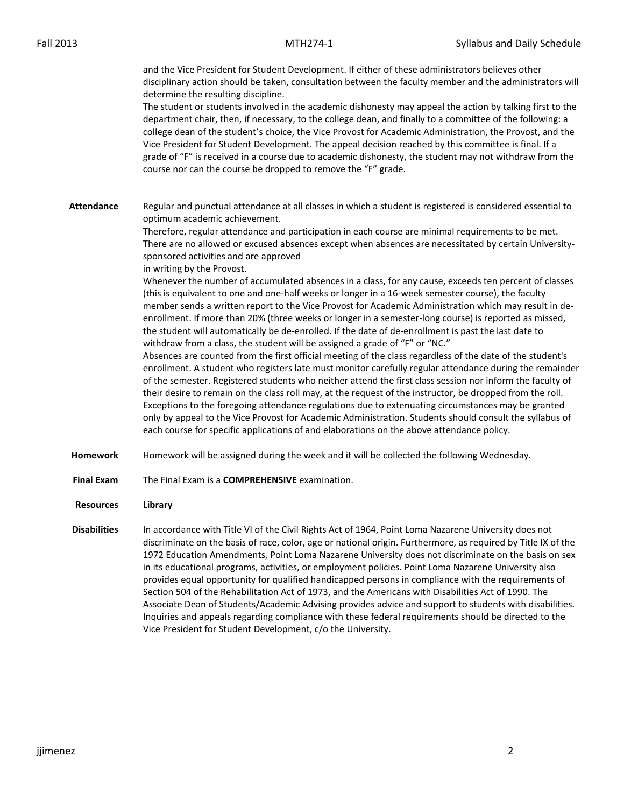and the Vice President for Student Development. If either of these administrators believes other disciplinary action should be taken, consultation between the faculty member and the administrators will determine the resulting discipline.

The student or students involved in the academic dishonesty may appeal the action by talking first to the department chair, then, if necessary, to the college dean, and finally to a committee of the following: a college dean of the student's choice, the Vice Provost for Academic Administration, the Provost, and the Vice President for Student Development. The appeal decision reached by this committee is final. If a grade of "F" is received in a course due to academic dishonesty, the student may not withdraw from the course nor can the course be dropped to remove the "F" grade.

**Attendance** Regular and punctual attendance at all classes in which a student is registered is considered essential to optimum academic achievement.

> Therefore, regular attendance and participation in each course are minimal requirements to be met. There are no allowed or excused absences except when absences are necessitated by certain Universitysponsored activities and are approved

in writing by the Provost.

Whenever the number of accumulated absences in a class, for any cause, exceeds ten percent of classes (this is equivalent to one and one-half weeks or longer in a 16-week semester course), the faculty member sends a written report to the Vice Provost for Academic Administration which may result in deenrollment. If more than 20% (three weeks or longer in a semester-long course) is reported as missed, the student will automatically be de-enrolled. If the date of de-enrollment is past the last date to withdraw from a class, the student will be assigned a grade of "F" or "NC."

Absences are counted from the first official meeting of the class regardless of the date of the student's enrollment. A student who registers late must monitor carefully regular attendance during the remainder of the semester. Registered students who neither attend the first class session nor inform the faculty of their desire to remain on the class roll may, at the request of the instructor, be dropped from the roll. Exceptions to the foregoing attendance regulations due to extenuating circumstances may be granted only by appeal to the Vice Provost for Academic Administration. Students should consult the syllabus of each course for specific applications of and elaborations on the above attendance policy.

- **Homework** Homework will be assigned during the week and it will be collected the following Wednesday.
- **Final Exam** The Final Exam is a **COMPREHENSIVE** examination.

## **Resources Library**

**Disabilities** In accordance with Title VI of the Civil Rights Act of 1964, Point Loma Nazarene University does not discriminate on the basis of race, color, age or national origin. Furthermore, as required by Title IX of the 1972 Education Amendments, Point Loma Nazarene University does not discriminate on the basis on sex in its educational programs, activities, or employment policies. Point Loma Nazarene University also provides equal opportunity for qualified handicapped persons in compliance with the requirements of Section 504 of the Rehabilitation Act of 1973, and the Americans with Disabilities Act of 1990. The Associate Dean of Students/Academic Advising provides advice and support to students with disabilities. Inquiries and appeals regarding compliance with these federal requirements should be directed to the Vice President for Student Development, c/o the University.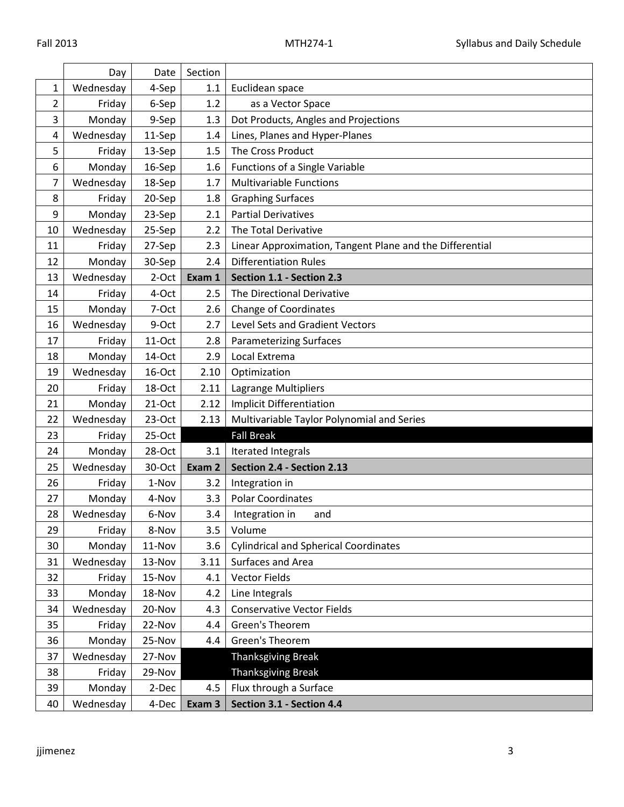|                | Day       | Date     | Section |                                                          |  |
|----------------|-----------|----------|---------|----------------------------------------------------------|--|
| 1              | Wednesday | 4-Sep    | 1.1     | Euclidean space                                          |  |
| $\overline{2}$ | Friday    | 6-Sep    | 1.2     | as a Vector Space                                        |  |
| 3              | Monday    | 9-Sep    | 1.3     | Dot Products, Angles and Projections                     |  |
| 4              | Wednesday | 11-Sep   | 1.4     | Lines, Planes and Hyper-Planes                           |  |
| 5              | Friday    | 13-Sep   | 1.5     | The Cross Product                                        |  |
| 6              | Monday    | 16-Sep   | 1.6     | <b>Functions of a Single Variable</b>                    |  |
| 7              | Wednesday | 18-Sep   | 1.7     | <b>Multivariable Functions</b>                           |  |
| 8              | Friday    | 20-Sep   | 1.8     | <b>Graphing Surfaces</b>                                 |  |
| 9              | Monday    | 23-Sep   | 2.1     | <b>Partial Derivatives</b>                               |  |
| 10             | Wednesday | 25-Sep   | 2.2     | The Total Derivative                                     |  |
| 11             | Friday    | 27-Sep   | 2.3     | Linear Approximation, Tangent Plane and the Differential |  |
| 12             | Monday    | 30-Sep   | 2.4     | <b>Differentiation Rules</b>                             |  |
| 13             | Wednesday | 2-Oct    | Exam 1  | Section 1.1 - Section 2.3                                |  |
| 14             | Friday    | 4-Oct    | 2.5     | The Directional Derivative                               |  |
| 15             | Monday    | 7-Oct    | 2.6     | Change of Coordinates                                    |  |
| 16             | Wednesday | 9-Oct    | 2.7     | Level Sets and Gradient Vectors                          |  |
| 17             | Friday    | 11-Oct   | 2.8     | <b>Parameterizing Surfaces</b>                           |  |
| 18             | Monday    | 14-Oct   | 2.9     | Local Extrema                                            |  |
| 19             | Wednesday | 16-Oct   | 2.10    | Optimization                                             |  |
| 20             | Friday    | 18-Oct   | 2.11    | Lagrange Multipliers                                     |  |
| 21             | Monday    | 21-Oct   | 2.12    | <b>Implicit Differentiation</b>                          |  |
| 22             | Wednesday | $23-Oct$ | 2.13    | Multivariable Taylor Polynomial and Series               |  |
| 23             | Friday    | 25-Oct   |         | <b>Fall Break</b>                                        |  |
| 24             | Monday    | 28-Oct   | 3.1     | Iterated Integrals                                       |  |
| 25             | Wednesday | 30-Oct   | Exam 2  | Section 2.4 - Section 2.13                               |  |
| 26             | Friday    | 1-Nov    | 3.2     | Integration in                                           |  |
| 27             | Monday    | 4-Nov    | 3.3     | <b>Polar Coordinates</b>                                 |  |
| 28             | Wednesday | 6-Nov    | 3.4     | Integration in<br>and                                    |  |
| 29             | Friday    | 8-Nov    | 3.5     | Volume                                                   |  |
| 30             | Monday    | 11-Nov   | 3.6     | <b>Cylindrical and Spherical Coordinates</b>             |  |
| 31             | Wednesday | 13-Nov   | 3.11    | Surfaces and Area                                        |  |
| 32             | Friday    | 15-Nov   | 4.1     | <b>Vector Fields</b>                                     |  |
| 33             | Monday    | 18-Nov   | 4.2     | Line Integrals                                           |  |
| 34             | Wednesday | 20-Nov   | 4.3     | <b>Conservative Vector Fields</b>                        |  |
| 35             | Friday    | 22-Nov   | 4.4     | Green's Theorem                                          |  |
| 36             | Monday    | 25-Nov   | 4.4     | Green's Theorem                                          |  |
| 37             | Wednesday | 27-Nov   |         | Thanksgiving Break                                       |  |
| 38             | Friday    | 29-Nov   |         | <b>Thanksgiving Break</b>                                |  |
| 39             | Monday    | 2-Dec    | 4.5     | Flux through a Surface                                   |  |
| 40             | Wednesday | 4-Dec    | Exam 3  | Section 3.1 - Section 4.4                                |  |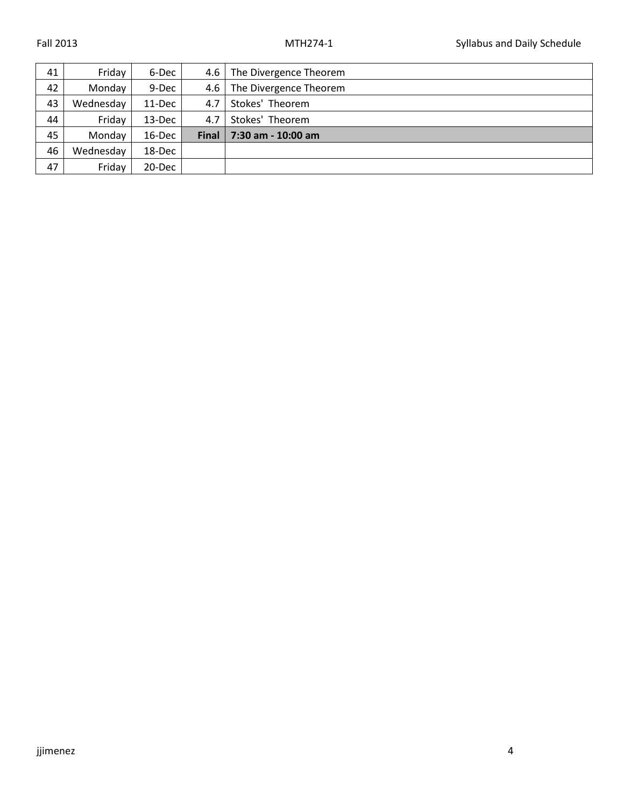| 41 | Friday    | 6-Dec  | 4.6          | The Divergence Theorem |
|----|-----------|--------|--------------|------------------------|
| 42 | Monday    | 9-Dec  | 4.6          | The Divergence Theorem |
| 43 | Wednesday | 11-Dec | 4.7          | Stokes' Theorem        |
| 44 | Friday    | 13-Dec | 4.7          | Stokes' Theorem        |
| 45 | Monday    | 16-Dec | <b>Final</b> | 7:30 am - 10:00 am     |
| 46 | Wednesday | 18-Dec |              |                        |
| 47 | Friday    | 20-Dec |              |                        |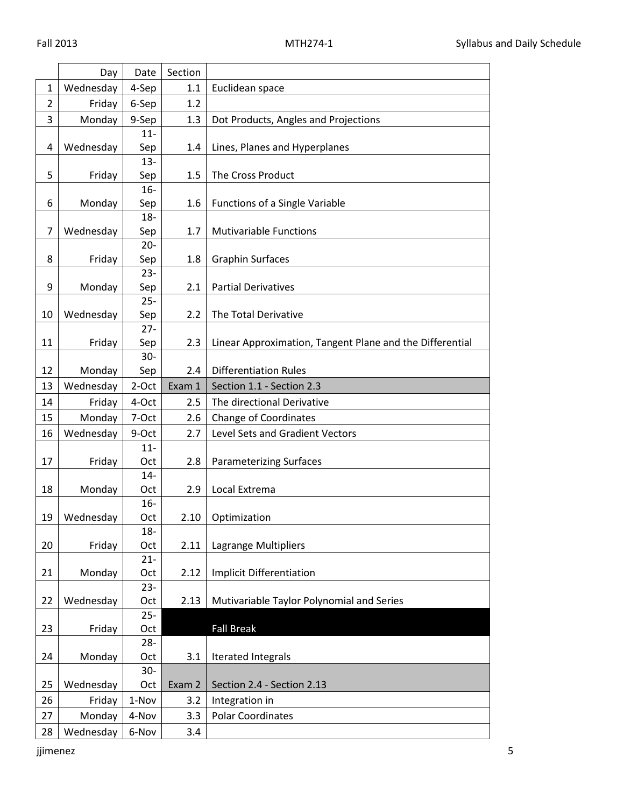|                | Day       | Date          | Section |                                                          |
|----------------|-----------|---------------|---------|----------------------------------------------------------|
| 1              | Wednesday | 4-Sep         | 1.1     | Euclidean space                                          |
| $\overline{2}$ | Friday    | 6-Sep         | 1.2     |                                                          |
| 3              | Monday    | 9-Sep         | 1.3     | Dot Products, Angles and Projections                     |
|                |           | $11 -$        |         |                                                          |
| 4              | Wednesday | Sep           | 1.4     | Lines, Planes and Hyperplanes                            |
|                |           | $13 -$        |         |                                                          |
| 5              | Friday    | Sep           | 1.5     | The Cross Product                                        |
|                |           | $16-$         |         |                                                          |
| 6              | Monday    | Sep           | 1.6     | <b>Functions of a Single Variable</b>                    |
|                |           | $18 -$        |         |                                                          |
| $\overline{7}$ | Wednesday | Sep           | 1.7     | <b>Mutivariable Functions</b>                            |
|                |           | $20 -$        |         |                                                          |
| 8              | Friday    | Sep           | 1.8     | <b>Graphin Surfaces</b>                                  |
|                |           | $23 -$        |         |                                                          |
| 9              | Monday    | Sep<br>$25 -$ | 2.1     | <b>Partial Derivatives</b>                               |
| 10             | Wednesday | Sep           | 2.2     | The Total Derivative                                     |
|                |           | $27 -$        |         |                                                          |
| 11             | Friday    | Sep           | 2.3     | Linear Approximation, Tangent Plane and the Differential |
|                |           | $30-$         |         |                                                          |
| 12             | Monday    | Sep           | 2.4     | <b>Differentiation Rules</b>                             |
| 13             | Wednesday | 2-Oct         | Exam 1  | Section 1.1 - Section 2.3                                |
| 14             | Friday    | 4-Oct         | 2.5     | The directional Derivative                               |
| 15             | Monday    | 7-Oct         | 2.6     | <b>Change of Coordinates</b>                             |
| 16             | Wednesday | 9-Oct         | 2.7     | Level Sets and Gradient Vectors                          |
|                |           | $11 -$        |         |                                                          |
| 17             | Friday    | Oct           | 2.8     | <b>Parameterizing Surfaces</b>                           |
|                |           | $14-$         |         |                                                          |
| 18             | Monday    | Oct           | 2.9     | Local Extrema                                            |
|                |           | $16-$         |         |                                                          |
| 19             | Wednesday | Oct           |         | 2.10   Optimization                                      |
|                |           | $18 -$        |         |                                                          |
| 20             | Friday    | Oct           | 2.11    | Lagrange Multipliers                                     |
|                |           | $21 -$        |         |                                                          |
| 21             | Monday    | Oct           | 2.12    | <b>Implicit Differentiation</b>                          |
|                |           | $23 -$        |         |                                                          |
| 22             | Wednesday | Oct           | 2.13    | Mutivariable Taylor Polynomial and Series                |
|                |           | $25 -$        |         |                                                          |
| 23             | Friday    | Oct           |         | <b>Fall Break</b>                                        |
|                |           | $28 -$        |         |                                                          |
| 24             | Monday    | Oct           | 3.1     | Iterated Integrals                                       |
|                |           | $30-$         |         |                                                          |
| 25             | Wednesday | Oct           | Exam 2  | Section 2.4 - Section 2.13                               |
| 26             | Friday    | 1-Nov         | 3.2     | Integration in                                           |
| 27             | Monday    | 4-Nov         | 3.3     | <b>Polar Coordinates</b>                                 |
| 28             | Wednesday | 6-Nov         | 3.4     |                                                          |

jjimenez 5